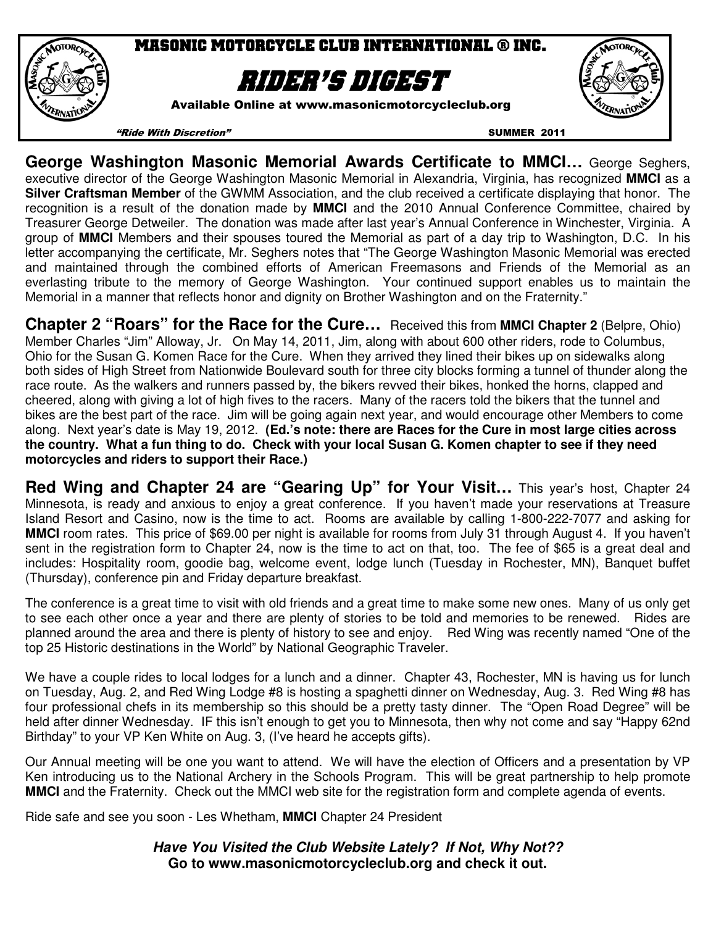

# Masonic Motorcycle club international ® inc.

# Rider's digest

Available Online at www.masonicmotorcycleclub.org



"Ride With Discretion" SUMMER 2011

**George Washington Masonic Memorial Awards Certificate to MMCI…** George Seghers, executive director of the George Washington Masonic Memorial in Alexandria, Virginia, has recognized **MMCI** as a **Silver Craftsman Member** of the GWMM Association, and the club received a certificate displaying that honor. The recognition is a result of the donation made by **MMCI** and the 2010 Annual Conference Committee, chaired by Treasurer George Detweiler. The donation was made after last year's Annual Conference in Winchester, Virginia. A group of **MMCI** Members and their spouses toured the Memorial as part of a day trip to Washington, D.C. In his letter accompanying the certificate, Mr. Seghers notes that "The George Washington Masonic Memorial was erected and maintained through the combined efforts of American Freemasons and Friends of the Memorial as an everlasting tribute to the memory of George Washington. Your continued support enables us to maintain the Memorial in a manner that reflects honor and dignity on Brother Washington and on the Fraternity."

**Chapter 2 "Roars" for the Race for the Cure…** Received this from **MMCI Chapter 2** (Belpre, Ohio) Member Charles "Jim" Alloway, Jr. On May 14, 2011, Jim, along with about 600 other riders, rode to Columbus, Ohio for the Susan G. Komen Race for the Cure. When they arrived they lined their bikes up on sidewalks along both sides of High Street from Nationwide Boulevard south for three city blocks forming a tunnel of thunder along the race route. As the walkers and runners passed by, the bikers revved their bikes, honked the horns, clapped and cheered, along with giving a lot of high fives to the racers. Many of the racers told the bikers that the tunnel and bikes are the best part of the race. Jim will be going again next year, and would encourage other Members to come along. Next year's date is May 19, 2012. **(Ed.'s note: there are Races for the Cure in most large cities across the country. What a fun thing to do. Check with your local Susan G. Komen chapter to see if they need motorcycles and riders to support their Race.)** 

Red Wing and Chapter 24 are "Gearing Up" for Your Visit... This year's host, Chapter 24 Minnesota, is ready and anxious to enjoy a great conference. If you haven't made your reservations at Treasure Island Resort and Casino, now is the time to act. Rooms are available by calling 1-800-222-7077 and asking for **MMCI** room rates. This price of \$69.00 per night is available for rooms from July 31 through August 4. If you haven't sent in the registration form to Chapter 24, now is the time to act on that, too. The fee of \$65 is a great deal and includes: Hospitality room, goodie bag, welcome event, lodge lunch (Tuesday in Rochester, MN), Banquet buffet (Thursday), conference pin and Friday departure breakfast.

The conference is a great time to visit with old friends and a great time to make some new ones. Many of us only get to see each other once a year and there are plenty of stories to be told and memories to be renewed. Rides are planned around the area and there is plenty of history to see and enjoy. Red Wing was recently named "One of the top 25 Historic destinations in the World" by National Geographic Traveler.

We have a couple rides to local lodges for a lunch and a dinner. Chapter 43, Rochester, MN is having us for lunch on Tuesday, Aug. 2, and Red Wing Lodge #8 is hosting a spaghetti dinner on Wednesday, Aug. 3. Red Wing #8 has four professional chefs in its membership so this should be a pretty tasty dinner. The "Open Road Degree" will be held after dinner Wednesday. IF this isn't enough to get you to Minnesota, then why not come and say "Happy 62nd Birthday" to your VP Ken White on Aug. 3, (I've heard he accepts gifts).

Our Annual meeting will be one you want to attend. We will have the election of Officers and a presentation by VP Ken introducing us to the National Archery in the Schools Program. This will be great partnership to help promote **MMCI** and the Fraternity. Check out the MMCI web site for the registration form and complete agenda of events.

Ride safe and see you soon - Les Whetham, **MMCI** Chapter 24 President

**Have You Visited the Club Website Lately? If Not, Why Not?? Go to www.masonicmotorcycleclub.org and check it out.**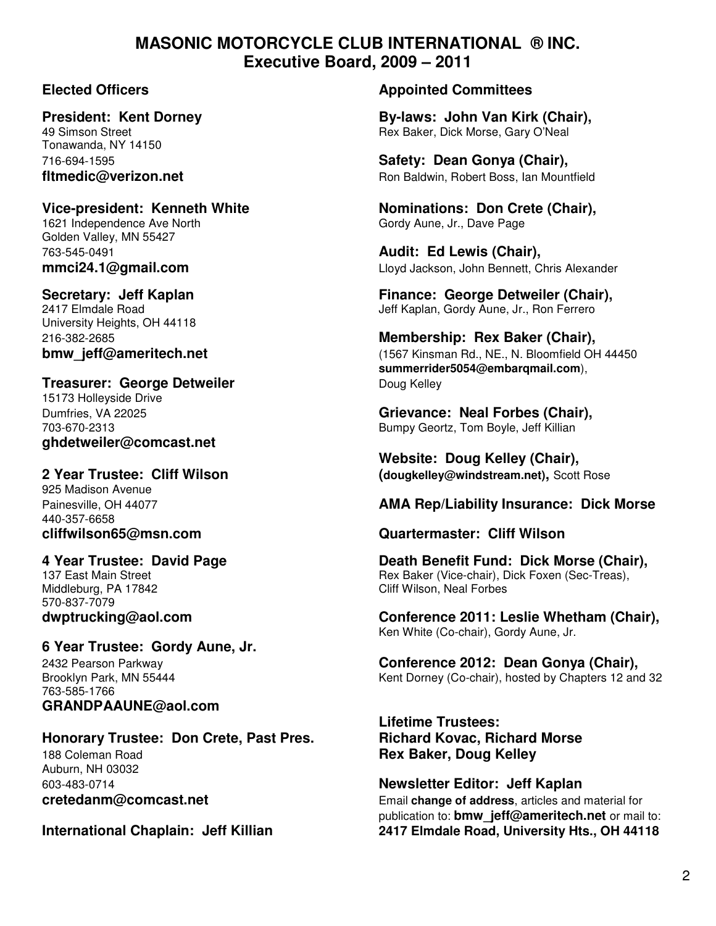### **MASONIC MOTORCYCLE CLUB INTERNATIONAL ® INC. Executive Board, 2009 – 2011**

Tonawanda, NY 14150

# 1621 Independence Ave North Gordy Aune, Jr., Dave Page

Golden Valley, MN 55427 763-545-0491 **Audit: Ed Lewis (Chair),** 

University Heights, OH 44118

### **Treasurer: George Detweiler Communist Communist Communist Communist Communist Communist Communist Communist Communist Communist Communist Communist Communist Communist Communist Communist Communist Communist Communist C**

15173 Holleyside Drive **ghdetweiler@comcast.net** 

925 Madison Avenue 440-357-6658

Middleburg, PA 17842 Cliff Wilson, Neal Forbes 570-837-7079

### **6 Year Trustee: Gordy Aune, Jr.**

763-585-1766 **GRANDPAAUNE@aol.com** 

## **Honorary Trustee: Don Crete, Past Pres. Richard Kovac, Richard Morse**

Auburn, NH 03032

#### **Elected Officers Appointed Committees**

**President: Kent Dorney By-laws: John Van Kirk (Chair),**  Rex Baker, Dick Morse, Gary O'Neal

716-694-1595 **Safety: Dean Gonya (Chair), fltmedic@verizon.net Ron Baldwin, Robert Boss, Ian Mountfield** 

Vice-president: Kenneth White **Nominations: Don Crete (Chair)**,

**mmci24.1@gmail.com** Lloyd Jackson, John Bennett, Chris Alexander

**Secretary: Jeff Kaplan Finance: George Detweiler (Chair), Finance: George Detweiler (Chair), 2417 Elmdale Road** Jeff Kaplan, Gordy Aune, Jr., Ron Ferrero

216-382-2685 **Membership: Rex Baker (Chair), bmw\_jeff@ameritech.net bmw\_jeff@ameritech.net compared and the set of the set of the set of the set of the set of the set of the set of the set of the set of the set of the set of the set of the set of the set of the summerrider5054@embarqmail.com**),

Dumfries, VA 22025 **Grievance: Neal Forbes (Chair),**  703-670-2313 Bumpy Geortz, Tom Boyle, Jeff Killian

 **Website: Doug Kelley (Chair), 2 Year Trustee: Cliff Wilson (dougkelley@windstream.net),** Scott Rose

### Painesville, OH 44077 **AMA Rep/Liability Insurance: Dick Morse**

#### **cliffwilson65@msn.com Quartermaster: Cliff Wilson**

**4 Year Trustee: David Page Death Benefit Fund: Dick Morse (Chair),**  137 East Main Street **Research Reading Communist Communist Communist Communist Communist Communist Communist Communist Communist Communist Communist Communist Communist Communist Communist Communist Communist Communist Com** 

**dwptrucking@aol.com Conference 2011: Leslie Whetham (Chair),**  Ken White (Co-chair), Gordy Aune, Jr.

2432 Pearson Parkway **Conference 2012: Dean Gonya (Chair),** Kent Dorney (Co-chair), hosted by Chapters 12 and 32

 **Lifetime Trustees:** 188 Coleman Road **Rex Baker, Doug Kelley**

603-483-0714 **Newsletter Editor: Jeff Kaplan cretedanm@comcast.net Email change of address**, articles and material for publication to: **bmw\_jeff@ameritech.net** or mail to: **International Chaplain: Jeff Killian 2417 Elmdale Road, University Hts., OH 44118**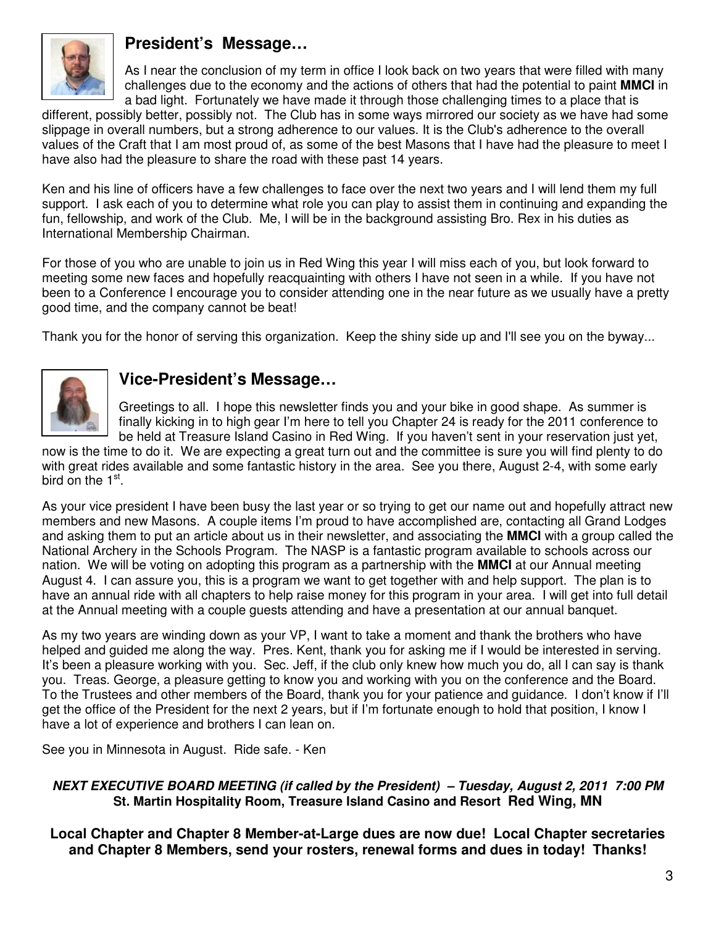

### **President's Message…**

As I near the conclusion of my term in office I look back on two years that were filled with many challenges due to the economy and the actions of others that had the potential to paint **MMCI** in a bad light. Fortunately we have made it through those challenging times to a place that is

different, possibly better, possibly not. The Club has in some ways mirrored our society as we have had some slippage in overall numbers, but a strong adherence to our values. It is the Club's adherence to the overall values of the Craft that I am most proud of, as some of the best Masons that I have had the pleasure to meet I have also had the pleasure to share the road with these past 14 years.

Ken and his line of officers have a few challenges to face over the next two years and I will lend them my full support. I ask each of you to determine what role you can play to assist them in continuing and expanding the fun, fellowship, and work of the Club. Me, I will be in the background assisting Bro. Rex in his duties as International Membership Chairman.

For those of you who are unable to join us in Red Wing this year I will miss each of you, but look forward to meeting some new faces and hopefully reacquainting with others I have not seen in a while. If you have not been to a Conference I encourage you to consider attending one in the near future as we usually have a pretty good time, and the company cannot be beat!

Thank you for the honor of serving this organization. Keep the shiny side up and I'll see you on the byway...



### **Vice-President's Message…**

Greetings to all. I hope this newsletter finds you and your bike in good shape. As summer is finally kicking in to high gear I'm here to tell you Chapter 24 is ready for the 2011 conference to be held at Treasure Island Casino in Red Wing. If you haven't sent in your reservation just yet,

now is the time to do it. We are expecting a great turn out and the committee is sure you will find plenty to do with great rides available and some fantastic history in the area. See you there, August 2-4, with some early bird on the 1<sup>st</sup>.

As your vice president I have been busy the last year or so trying to get our name out and hopefully attract new members and new Masons. A couple items I'm proud to have accomplished are, contacting all Grand Lodges and asking them to put an article about us in their newsletter, and associating the **MMCI** with a group called the National Archery in the Schools Program. The NASP is a fantastic program available to schools across our nation. We will be voting on adopting this program as a partnership with the **MMCI** at our Annual meeting August 4. I can assure you, this is a program we want to get together with and help support. The plan is to have an annual ride with all chapters to help raise money for this program in your area. I will get into full detail at the Annual meeting with a couple guests attending and have a presentation at our annual banquet.

As my two years are winding down as your VP, I want to take a moment and thank the brothers who have helped and guided me along the way. Pres. Kent, thank you for asking me if I would be interested in serving. It's been a pleasure working with you. Sec. Jeff, if the club only knew how much you do, all I can say is thank you. Treas. George, a pleasure getting to know you and working with you on the conference and the Board. To the Trustees and other members of the Board, thank you for your patience and guidance. I don't know if I'll get the office of the President for the next 2 years, but if I'm fortunate enough to hold that position, I know I have a lot of experience and brothers I can lean on.

See you in Minnesota in August. Ride safe. - Ken

#### **NEXT EXECUTIVE BOARD MEETING (if called by the President) – Tuesday, August 2, 2011 7:00 PM St. Martin Hospitality Room, Treasure Island Casino and Resort Red Wing, MN**

**Local Chapter and Chapter 8 Member-at-Large dues are now due! Local Chapter secretaries and Chapter 8 Members, send your rosters, renewal forms and dues in today! Thanks!**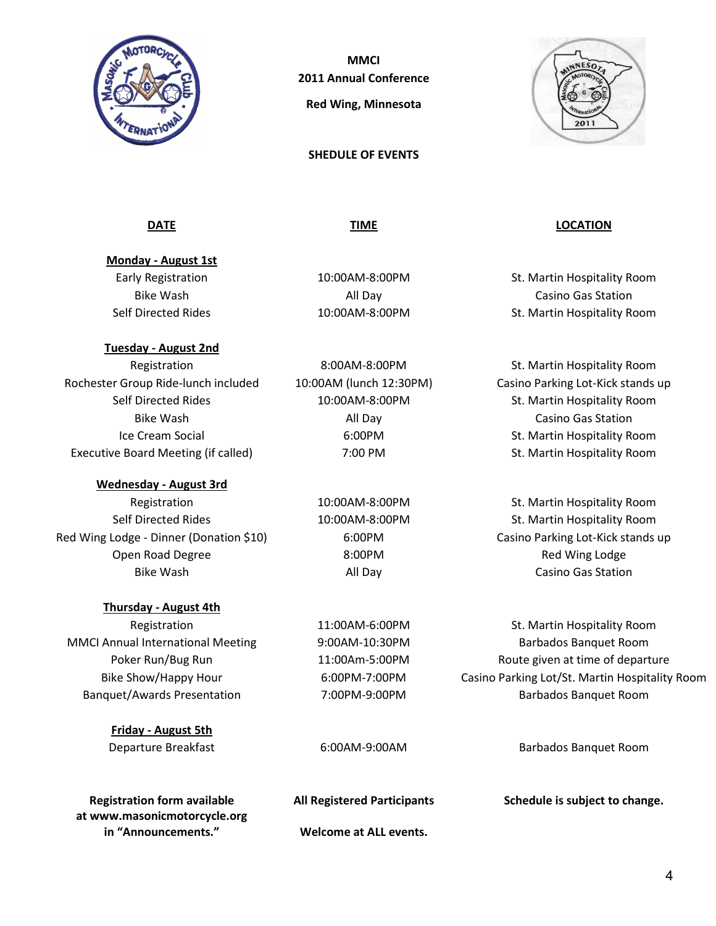

**MMCI** 2011 Annual Conference Red Wing, Minnesota

SHEDULE OF EVENTS



Monday - August 1st

Tuesday - August 2nd

Rochester Group Ride-lunch included 10:00AM (lunch 12:30PM) Casino Parking Lot-Kick stands up Executive Board Meeting (if called) **7:00 PM** St. Martin Hospitality Room

#### Wednesday - August 3rd

Red Wing Lodge - Dinner (Donation \$10) 6:00PM Casino Parking Lot-Kick stands up Open Road Degree **8:00PM** 8:00PM Red Wing Lodge

#### Thursday - August 4th

Friday - August 5th

at www.masonicmotorcycle.org in "Announcements." Welcome at ALL events.

Bike Wash **All Day** All Day **Casino Gas Station** 

#### <u>DATE</u> EXECUTIVE DATE DATE DESCRIPTION OF TIME OCCUPATION.

Early Registration 10:00AM-8:00PM St. Martin Hospitality Room Bike Wash **All Day** All Day **Casino Gas Station** Self Directed Rides **10:00AM-8:00PM** St. Martin Hospitality Room

Registration 8:00AM-8:00PM St. Martin Hospitality Room Self Directed Rides 10:00AM-8:00PM St. Martin Hospitality Room Ice Cream Social **6:00PM** 6:00PM St. Martin Hospitality Room

Registration 10:00AM-8:00PM St. Martin Hospitality Room Self Directed Rides 10:00AM-8:00PM St. Martin Hospitality Room Bike Wash **All Day** All Day **Casino Gas Station** 

Registration 11:00AM-6:00PM St. Martin Hospitality Room MMCI Annual International Meeting 9:00AM-10:30PM Barbados Banquet Room Poker Run/Bug Run 11:00Am-5:00PM Route given at time of departure Bike Show/Happy Hour 6:00PM-7:00PM Casino Parking Lot/St. Martin Hospitality Room Banquet/Awards Presentation 7:00PM-9:00PM Barbados Banquet Room

Departure Breakfast 6:00AM-9:00AM Barbados Banquet Room

Registration form available All Registered Participants Schedule is subject to change.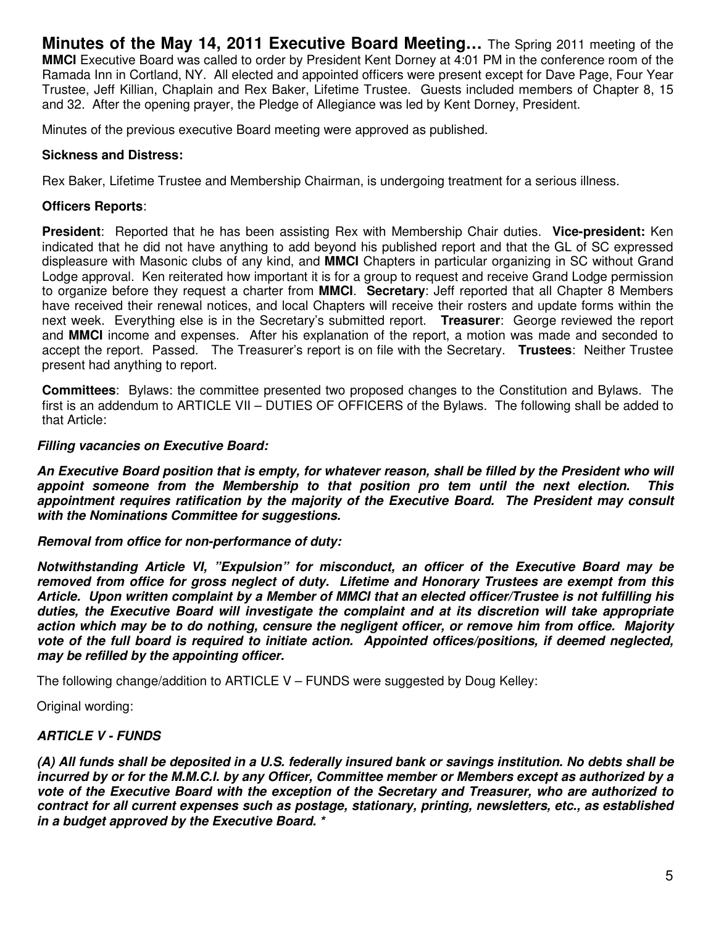**Minutes of the May 14, 2011 Executive Board Meeting…** The Spring 2011 meeting of the **MMCI** Executive Board was called to order by President Kent Dorney at 4:01 PM in the conference room of the Ramada Inn in Cortland, NY. All elected and appointed officers were present except for Dave Page, Four Year Trustee, Jeff Killian, Chaplain and Rex Baker, Lifetime Trustee. Guests included members of Chapter 8, 15 and 32. After the opening prayer, the Pledge of Allegiance was led by Kent Dorney, President.

Minutes of the previous executive Board meeting were approved as published.

#### **Sickness and Distress:**

Rex Baker, Lifetime Trustee and Membership Chairman, is undergoing treatment for a serious illness.

#### **Officers Reports**:

**President**: Reported that he has been assisting Rex with Membership Chair duties. **Vice-president:** Ken indicated that he did not have anything to add beyond his published report and that the GL of SC expressed displeasure with Masonic clubs of any kind, and **MMCI** Chapters in particular organizing in SC without Grand Lodge approval. Ken reiterated how important it is for a group to request and receive Grand Lodge permission to organize before they request a charter from **MMCI**. **Secretary**: Jeff reported that all Chapter 8 Members have received their renewal notices, and local Chapters will receive their rosters and update forms within the next week. Everything else is in the Secretary's submitted report. **Treasurer**: George reviewed the report and **MMCI** income and expenses. After his explanation of the report, a motion was made and seconded to accept the report. Passed. The Treasurer's report is on file with the Secretary. **Trustees**: Neither Trustee present had anything to report.

**Committees**: Bylaws: the committee presented two proposed changes to the Constitution and Bylaws. The first is an addendum to ARTICLE VII – DUTIES OF OFFICERS of the Bylaws. The following shall be added to that Article:

#### **Filling vacancies on Executive Board:**

**An Executive Board position that is empty, for whatever reason, shall be filled by the President who will appoint someone from the Membership to that position pro tem until the next election. This appointment requires ratification by the majority of the Executive Board. The President may consult with the Nominations Committee for suggestions.** 

#### **Removal from office for non-performance of duty:**

**Notwithstanding Article VI, "Expulsion" for misconduct, an officer of the Executive Board may be removed from office for gross neglect of duty. Lifetime and Honorary Trustees are exempt from this Article. Upon written complaint by a Member of MMCI that an elected officer/Trustee is not fulfilling his duties, the Executive Board will investigate the complaint and at its discretion will take appropriate action which may be to do nothing, censure the negligent officer, or remove him from office. Majority vote of the full board is required to initiate action. Appointed offices/positions, if deemed neglected, may be refilled by the appointing officer.** 

The following change/addition to ARTICLE V – FUNDS were suggested by Doug Kelley:

Original wording:

#### **ARTICLE V - FUNDS**

**(A) All funds shall be deposited in a U.S. federally insured bank or savings institution. No debts shall be incurred by or for the M.M.C.I. by any Officer, Committee member or Members except as authorized by a vote of the Executive Board with the exception of the Secretary and Treasurer, who are authorized to contract for all current expenses such as postage, stationary, printing, newsletters, etc., as established in a budget approved by the Executive Board. \***